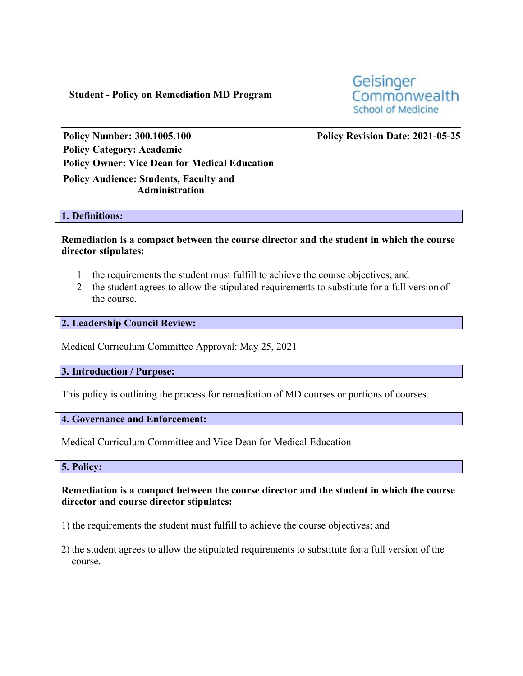**Student - Policy on Remediation MD Program**

Geisinger Commonwealth **School of Medicine** 

**Policy Number: 300.1005.100 Policy Revision Date: 2021-05-25 Policy Category: Academic Policy Owner: Vice Dean for Medical Education Policy Audience: Students, Faculty and**

**Administration**

## **1. Definitions:**

**Remediation is a compact between the course director and the student in which the course director stipulates:**

- 1. the requirements the student must fulfill to achieve the course objectives; and
- 2. the student agrees to allow the stipulated requirements to substitute for a full version of the course.

**2. Leadership Council Review:**

Medical Curriculum Committee Approval: May 25, 2021

**3. Introduction / Purpose:**

This policy is outlining the process for remediation of MD courses or portions of courses.

**4. Governance and Enforcement:**

Medical Curriculum Committee and Vice Dean for Medical Education

**5. Policy:**

**Remediation is a compact between the course director and the student in which the course director and course director stipulates:**

1) the requirements the student must fulfill to achieve the course objectives; and

2) the student agrees to allow the stipulated requirements to substitute for a full version of the course.